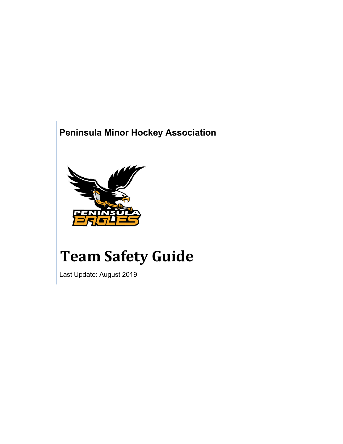## **Peninsula Minor Hockey Association**



# **Team Safety Guide**

Last Update: August 2019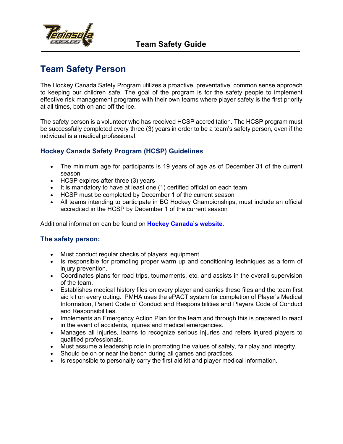

### **Team Safety Person**

The Hockey Canada Safety Program utilizes a proactive, preventative, common sense approach to keeping our children safe. The goal of the program is for the safety people to implement effective risk management programs with their own teams where player safety is the first priority at all times, both on and off the ice.

The safety person is a volunteer who has received HCSP accreditation. The HCSP program must be successfully completed every three (3) years in order to be a team's safety person, even if the individual is a medical professional.

#### **Hockey Canada Safety Program (HCSP) Guidelines**

- The minimum age for participants is 19 years of age as of December 31 of the current season
- HCSP expires after three (3) years
- It is mandatory to have at least one (1) certified official on each team
- HCSP must be completed by December 1 of the current season
- All teams intending to participate in BC Hockey Championships, must include an official accredited in the HCSP by December 1 of the current season

Additional information can be found on **Hockey Canada's website**.

#### **The safety person:**

- Must conduct regular checks of players' equipment.
- Is responsible for promoting proper warm up and conditioning techniques as a form of injury prevention.
- Coordinates plans for road trips, tournaments, etc. and assists in the overall supervision of the team.
- Establishes medical history files on every player and carries these files and the team first aid kit on every outing. PMHA uses the ePACT system for completion of Player's Medical Information, Parent Code of Conduct and Responsibilities and Players Code of Conduct and Responsibilities.
- Implements an Emergency Action Plan for the team and through this is prepared to react in the event of accidents, injuries and medical emergencies.
- Manages all injuries, learns to recognize serious injuries and refers injured players to qualified professionals.
- Must assume a leadership role in promoting the values of safety, fair play and integrity.
- Should be on or near the bench during all games and practices.
- Is responsible to personally carry the first aid kit and player medical information.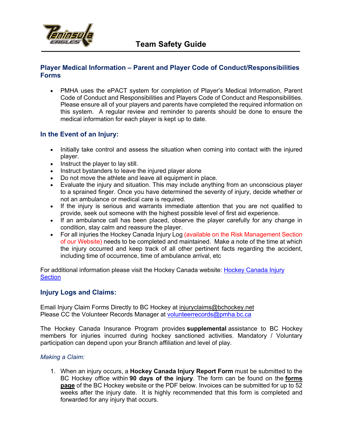

#### **Player Medical Information – Parent and Player Code of Conduct/Responsibilities Forms**

• PMHA uses the ePACT system for completion of Player's Medical Information, Parent Code of Conduct and Responsibilities and Players Code of Conduct and Responsibilities. Please ensure all of your players and parents have completed the required information on this system. A regular review and reminder to parents should be done to ensure the medical information for each player is kept up to date.

#### **In the Event of an Injury:**

- Initially take control and assess the situation when coming into contact with the injured player.
- Instruct the player to lay still.
- Instruct bystanders to leave the injured player alone
- Do not move the athlete and leave all equipment in place.
- Evaluate the injury and situation. This may include anything from an unconscious player to a sprained finger. Once you have determined the severity of injury, decide whether or not an ambulance or medical care is required.
- If the injury is serious and warrants immediate attention that you are not qualified to provide, seek out someone with the highest possible level of first aid experience.
- If an ambulance call has been placed, observe the player carefully for any change in condition, stay calm and reassure the player.
- For all injuries the Hockey Canada Injury Log (available on the Risk Management Section of our Website) needs to be completed and maintained. Make a note of the time at which the injury occurred and keep track of all other pertinent facts regarding the accident, including time of occurrence, time of ambulance arrival, etc

For additional information please visit the Hockey Canada website: Hockey Canada Injury **Section** 

#### **Injury Logs and Claims:**

Email Injury Claim Forms Directly to BC Hockey at injuryclaims@bchockey.net Please CC the Volunteer Records Manager at volunteerrecords@pmha.bc.ca

The Hockey Canada Insurance Program provides **supplemental** assistance to BC Hockey members for injuries incurred during hockey sanctioned activities. Mandatory / Voluntary participation can depend upon your Branch affiliation and level of play.

#### *Making a Claim:*

1. When an injury occurs, a **Hockey Canada Injury Report Form** must be submitted to the BC Hockey office within **90 days of the injury**. The form can be found on the **forms page** of the BC Hockey website or the PDF below. Invoices can be submitted for up to 52 weeks after the injury date. It is highly recommended that this form is completed and forwarded for any injury that occurs.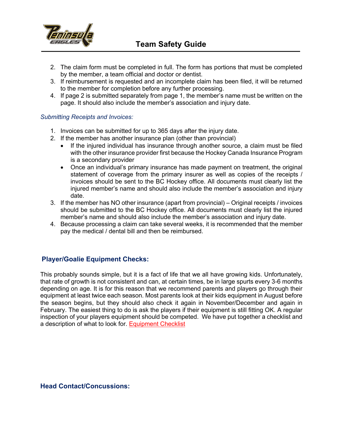

- 2. The claim form must be completed in full. The form has portions that must be completed by the member, a team official and doctor or dentist.
- 3. If reimbursement is requested and an incomplete claim has been filed, it will be returned to the member for completion before any further processing.
- 4. If page 2 is submitted separately from page 1, the member's name must be written on the page. It should also include the member's association and injury date.

#### *Submitting Receipts and Invoices:*

- 1. Invoices can be submitted for up to 365 days after the injury date.
- 2. If the member has another insurance plan (other than provincial)
	- If the injured individual has insurance through another source, a claim must be filed with the other insurance provider first because the Hockey Canada Insurance Program is a secondary provider
	- Once an individual's primary insurance has made payment on treatment, the original statement of coverage from the primary insurer as well as copies of the receipts / invoices should be sent to the BC Hockey office. All documents must clearly list the injured member's name and should also include the member's association and injury date.
- 3. If the member has NO other insurance (apart from provincial) Original receipts / invoices should be submitted to the BC Hockey office. All documents must clearly list the injured member's name and should also include the member's association and injury date.
- 4. Because processing a claim can take several weeks, it is recommended that the member pay the medical / dental bill and then be reimbursed.

#### **Player/Goalie Equipment Checks:**

This probably sounds simple, but it is a fact of life that we all have growing kids. Unfortunately, that rate of growth is not consistent and can, at certain times, be in large spurts every 3-6 months depending on age. It is for this reason that we recommend parents and players go through their equipment at least twice each season. Most parents look at their kids equipment in August before the season begins, but they should also check it again in November/December and again in February. The easiest thing to do is ask the players if their equipment is still fitting OK. A regular inspection of your players equipment should be competed. We have put together a checklist and a description of what to look for. Equipment Checklist

#### **Head Contact/Concussions:**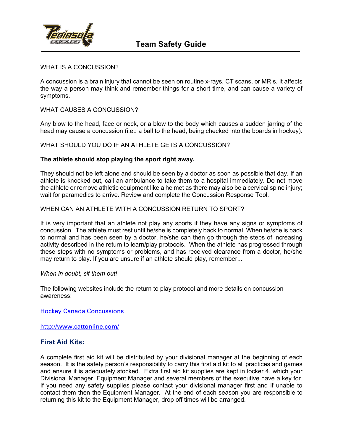

#### WHAT IS A CONCUSSION?

A concussion is a brain injury that cannot be seen on routine x-rays, CT scans, or MRIs. It affects the way a person may think and remember things for a short time, and can cause a variety of symptoms.

#### WHAT CAUSES A CONCUSSION?

Any blow to the head, face or neck, or a blow to the body which causes a sudden jarring of the head may cause a concussion (i.e.: a ball to the head, being checked into the boards in hockey).

WHAT SHOULD YOU DO IF AN ATHLETE GETS A CONCUSSION?

#### **The athlete should stop playing the sport right away.**

They should not be left alone and should be seen by a doctor as soon as possible that day. If an athlete is knocked out, call an ambulance to take them to a hospital immediately. Do not move the athlete or remove athletic equipment like a helmet as there may also be a cervical spine injury; wait for paramedics to arrive. Review and complete the Concussion Response Tool.

#### WHEN CAN AN ATHLETE WITH A CONCUSSION RETURN TO SPORT?

It is very important that an athlete not play any sports if they have any signs or symptoms of concussion. The athlete must rest until he/she is completely back to normal. When he/she is back to normal and has been seen by a doctor, he/she can then go through the steps of increasing activity described in the return to learn/play protocols. When the athlete has progressed through these steps with no symptoms or problems, and has received clearance from a doctor, he/she may return to play. If you are unsure if an athlete should play, remember...

#### *When in doubt, sit them out!*

The following websites include the return to play protocol and more details on concussion awareness:

Hockey Canada Concussions

http://www.cattonline.com/

#### **First Aid Kits:**

A complete first aid kit will be distributed by your divisional manager at the beginning of each season. It is the safety person's responsibility to carry this first aid kit to all practices and games and ensure it is adequately stocked. Extra first aid kit supplies are kept in locker 4, which your Divisional Manager, Equipment Manager and several members of the executive have a key for. If you need any safety supplies please contact your divisional manager first and if unable to contact them then the Equipment Manager. At the end of each season you are responsible to returning this kit to the Equipment Manager, drop off times will be arranged.